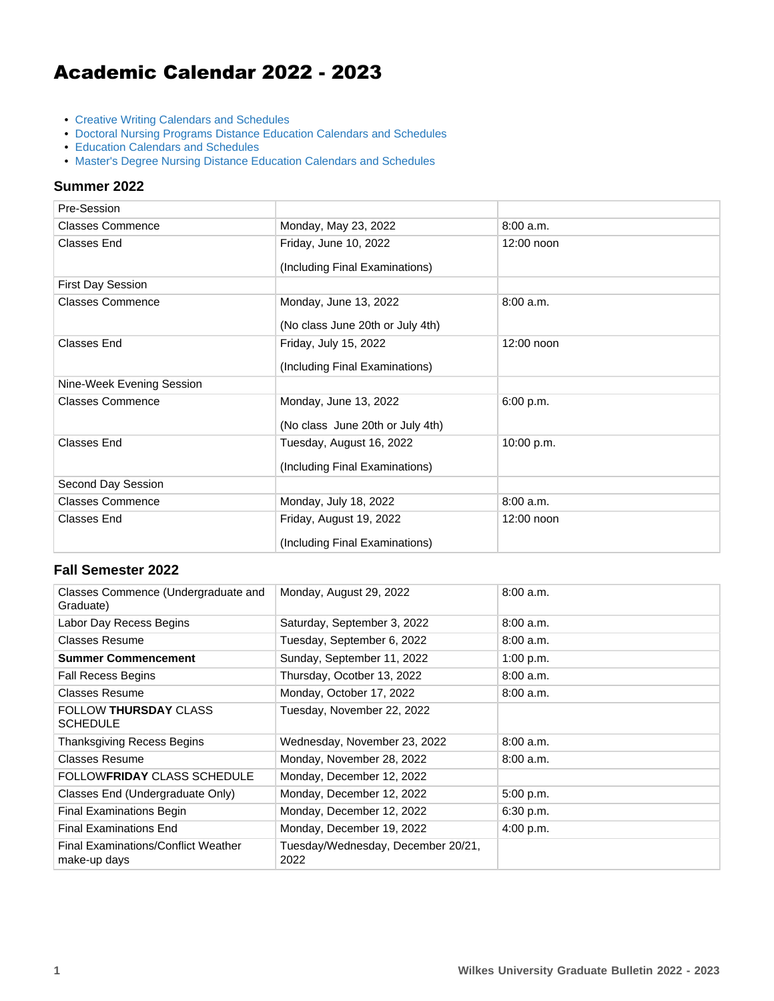# Academic Calendar 2022 - 2023

- [Creative Writing Calendars and Schedules](https://www.wilkes.edu/bulletin/current/graduate/academic-calendar/creative-writing-academic-calendars-and-schedules.aspx)
- [Doctoral Nursing Programs Distance Education Calendars and Schedules](https://www.wilkes.edu/bulletin/current/graduate/academic-calendar/dnp-academic-calendars-and-schedules.aspx)
- [Education Calendars and Schedules](https://www.wilkes.edu/bulletin/current/graduate/academic-calendar/education-academic-calendars-and-schedules.aspx)
- [Master's Degree Nursing Distance Education Calendars and Schedules](https://www.wilkes.edu/bulletin/current/graduate/academic-calendar/nursing-academic-calendars-and-schedules-1.aspx)

#### **Summer 2022**

| Pre-Session               |                                                            |              |
|---------------------------|------------------------------------------------------------|--------------|
| <b>Classes Commence</b>   | Monday, May 23, 2022                                       | 8:00 a.m.    |
| <b>Classes End</b>        | Friday, June 10, 2022<br>(Including Final Examinations)    | 12:00 noon   |
| <b>First Day Session</b>  |                                                            |              |
|                           |                                                            |              |
| <b>Classes Commence</b>   | Monday, June 13, 2022<br>(No class June 20th or July 4th)  | 8:00 a.m.    |
| <b>Classes End</b>        | Friday, July 15, 2022<br>(Including Final Examinations)    | $12:00$ noon |
| Nine-Week Evening Session |                                                            |              |
| <b>Classes Commence</b>   | Monday, June 13, 2022<br>(No class June 20th or July 4th)  | 6:00 p.m.    |
| <b>Classes End</b>        | Tuesday, August 16, 2022<br>(Including Final Examinations) | 10:00 p.m.   |
| Second Day Session        |                                                            |              |
| <b>Classes Commence</b>   | Monday, July 18, 2022                                      | 8:00 a.m.    |
| Classes End               | Friday, August 19, 2022<br>(Including Final Examinations)  | 12:00 noon   |

#### **Fall Semester 2022**

| Classes Commence (Undergraduate and<br>Graduate)    | Monday, August 29, 2022                    | 8:00 a.m. |
|-----------------------------------------------------|--------------------------------------------|-----------|
| Labor Day Recess Begins                             | Saturday, September 3, 2022                | 8:00a.m.  |
| Classes Resume                                      | Tuesday, September 6, 2022                 | 8:00 a.m. |
| <b>Summer Commencement</b>                          | Sunday, September 11, 2022                 | 1:00 p.m. |
| <b>Fall Recess Begins</b>                           | Thursday, Ocotber 13, 2022                 | 8:00a.m.  |
| Classes Resume                                      | Monday, October 17, 2022                   | 8:00a.m.  |
| <b>FOLLOW THURSDAY CLASS</b><br><b>SCHEDULE</b>     | Tuesday, November 22, 2022                 |           |
| Thanksgiving Recess Begins                          | Wednesday, November 23, 2022               | 8:00 a.m. |
| Classes Resume                                      | Monday, November 28, 2022                  | 8:00 a.m. |
| FOLLOW <b>FRIDAY</b> CLASS SCHEDULE                 | Monday, December 12, 2022                  |           |
| Classes End (Undergraduate Only)                    | Monday, December 12, 2022                  | 5:00 p.m. |
| <b>Final Examinations Begin</b>                     | Monday, December 12, 2022                  | 6:30 p.m. |
| <b>Final Examinations End</b>                       | Monday, December 19, 2022                  | 4:00 p.m. |
| Final Examinations/Conflict Weather<br>make-up days | Tuesday/Wednesday, December 20/21,<br>2022 |           |